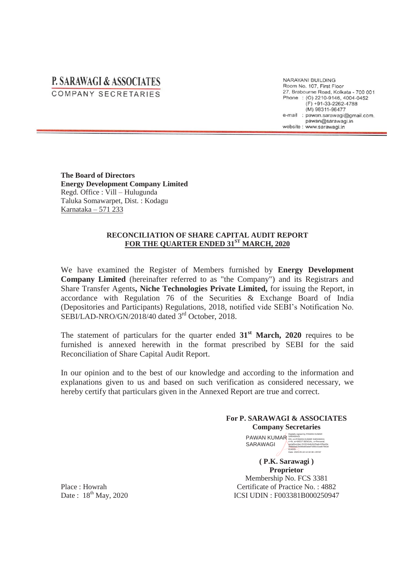## **P. SARAWAGI & ASSOCIATES** COMPANY SECRETARIES

NARAYANI BUILDING Room No. 107, First Floor 27, Brabourne Road, Kolkata - 700 001 Phone: (0) 2210-9146, 4004-0452  $(F) +91-33-2262-4788$ (M) 98311-96477 e-mail : pawan.sarawagi@gmail.com. pawan@sarawagi.in website : www.sarawagi.in

**The Board of Directors Energy Development Company Limited**  Regd. Office : Vill – Hulugunda Taluka Somawarpet, Dist. : Kodagu Karnataka – 571 233

## **RECONCILIATION OF SHARE CAPITAL AUDIT REPORT FOR THE QUARTER ENDED 31ST MARCH, 2020**

We have examined the Register of Members furnished by **Energy Development Company Limited** (hereinafter referred to as "the Company") and its Registrars and Share Transfer Agents**, Niche Technologies Private Limited,** for issuing the Report, in accordance with Regulation 76 of the Securities & Exchange Board of India (Depositories and Participants) Regulations, 2018, notified vide SEBI's Notification No. SEBI/LAD-NRO/GN/2018/40 dated 3<sup>rd</sup> October, 2018.

The statement of particulars for the quarter ended 31<sup>st</sup> March, 2020 requires to be furnished is annexed herewith in the format prescribed by SEBI for the said Reconciliation of Share Capital Audit Report.

In our opinion and to the best of our knowledge and according to the information and explanations given to us and based on such verification as considered necessary, we hereby certify that particulars given in the Annexed Report are true and correct.

## **For P. SARAWAGI & ASSOCIATES Company Secretaries**

**PAWAN KUMAR**<br>PAWAN KUMAR SARAWAGI KUMAR SARAWAGI SARAWAGI c=IN, st=WEST BENGAL, o=Personal,<br>serialNumber=f10014efe1b25adc435ed3e<br>35f888a67b588a60adaf7d90c01ade79b3d<br>614643<br>Date: 2020.05.18 14:32:38 +05'30'

**( P.K. Sarawagi ) Proprietor**  Membership No. FCS 3381 Certificate of Practice No. : 4882 ICSI UDIN : F003381B000250947

Place : Howrah Date:  $18^{th}$  May, 2020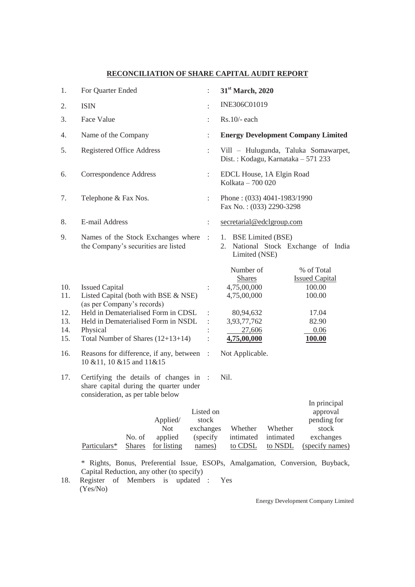## **RECONCILIATION OF SHARE CAPITAL AUDIT REPORT**

| 1.                                     | For Quarter Ended                                                                                                                                                                                                            |                             | 31 <sup>st</sup> March, 2020                                                                                                                                                                                        |
|----------------------------------------|------------------------------------------------------------------------------------------------------------------------------------------------------------------------------------------------------------------------------|-----------------------------|---------------------------------------------------------------------------------------------------------------------------------------------------------------------------------------------------------------------|
| 2.                                     | <b>ISIN</b>                                                                                                                                                                                                                  | ÷                           | INE306C01019                                                                                                                                                                                                        |
| 3.                                     | Face Value                                                                                                                                                                                                                   |                             | $Rs.10/-$ each                                                                                                                                                                                                      |
| 4.                                     | Name of the Company                                                                                                                                                                                                          | ÷                           | <b>Energy Development Company Limited</b>                                                                                                                                                                           |
| 5.                                     | <b>Registered Office Address</b>                                                                                                                                                                                             | ÷                           | Vill - Hulugunda, Taluka Somawarpet,<br>Dist.: Kodagu, Karnataka - 571 233                                                                                                                                          |
| 6.                                     | Correspondence Address                                                                                                                                                                                                       | $\ddot{\phantom{a}}$        | EDCL House, 1A Elgin Road<br>Kolkata - 700 020                                                                                                                                                                      |
| 7.                                     | Telephone & Fax Nos.                                                                                                                                                                                                         | ÷                           | Phone: $(033)$ 4041-1983/1990<br>Fax No.: (033) 2290-3298                                                                                                                                                           |
| 8.                                     | E-mail Address                                                                                                                                                                                                               | $\ddot{\phantom{a}}$        | secretarial@edclgroup.com                                                                                                                                                                                           |
| 9.                                     | Names of the Stock Exchanges where<br>the Company's securities are listed                                                                                                                                                    | $\mathbb{R}^2$              | 1. BSE Limited (BSE)<br>National Stock Exchange of India<br>2.<br>Limited (NSE)                                                                                                                                     |
| 10.<br>11.<br>12.<br>13.<br>14.<br>15. | <b>Issued Capital</b><br>Listed Capital (both with BSE & NSE)<br>(as per Company's records)<br>Held in Dematerialised Form in CDSL<br>Held in Dematerialised Form in NSDL<br>Physical<br>Total Number of Shares $(12+13+14)$ |                             | Number of<br>% of Total<br><b>Shares</b><br><b>Issued Capital</b><br>4,75,00,000<br>100.00<br>4,75,00,000<br>100.00<br>80,94,632<br>17.04<br>3,93,77,762<br>82.90<br>27,606<br>0.06<br>4,75,00,000<br><u>100.00</u> |
| 16.                                    | Reasons for difference, if any, between<br>10 & 11, 10 & 15 and 11 & 15                                                                                                                                                      | $\mathbb{R}^2$              | Not Applicable.                                                                                                                                                                                                     |
| 17.                                    | Certifying the details of changes in :<br>share capital during the quarter under<br>consideration, as per table below                                                                                                        |                             | Nil.                                                                                                                                                                                                                |
|                                        | Listed on<br>Applied/<br><b>Not</b><br>exchanges<br>No. of<br>applied<br>Particulars*<br><b>Shares</b><br>for listing                                                                                                        | stock<br>(specify<br>names) | In principal<br>approval<br>pending for<br>Whether<br>Whether<br>stock<br>intimated<br>intimated<br>exchanges<br>to CDSL<br>to NSDL<br>(specify names)                                                              |

\* Rights, Bonus, Preferential Issue, ESOPs, Amalgamation, Conversion, Buyback, Capital Reduction, any other (to specify)

18. Register of Members is updated : Yes (Yes/No)

Energy Development Company Limited